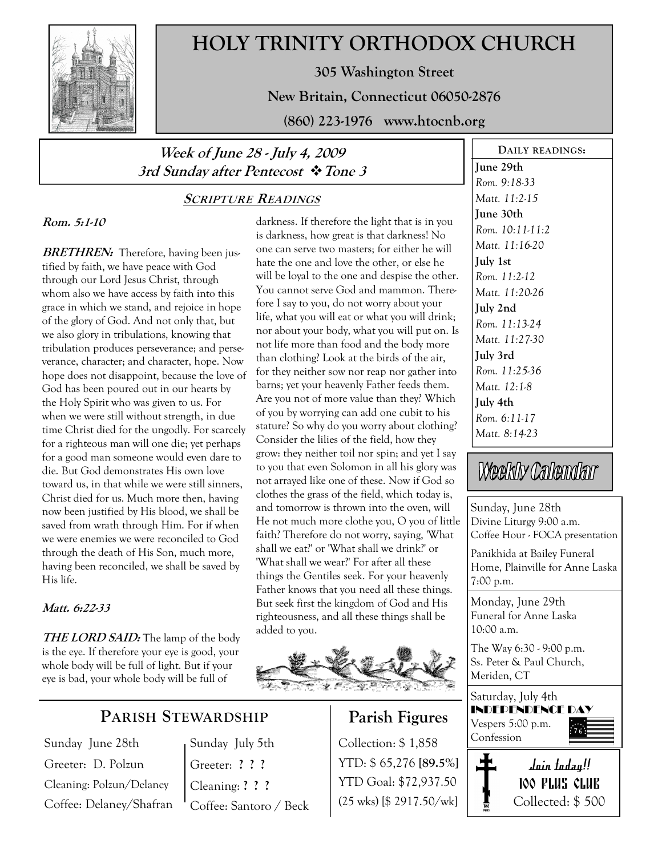

# HOLY TRINITY ORTHODOX CHURCH

305 Washington Street

New Britain, Connecticut 06050-2876

(860) 223-1976 www.htocnb.org

## Week of June 28 - July 4, 2009 3rd Sunday after Pentecost  $\cdot$  Tone 3

### SCRIPTURE READINGS

### Rom. 5:1-10

**BRETHREN:** Therefore, having been justified by faith, we have peace with God through our Lord Jesus Christ, through whom also we have access by faith into this grace in which we stand, and rejoice in hope of the glory of God. And not only that, but we also glory in tribulations, knowing that tribulation produces perseverance; and perseverance, character; and character, hope. Now hope does not disappoint, because the love of God has been poured out in our hearts by the Holy Spirit who was given to us. For when we were still without strength, in due time Christ died for the ungodly. For scarcely for a righteous man will one die; yet perhaps for a good man someone would even dare to die. But God demonstrates His own love toward us, in that while we were still sinners, Christ died for us. Much more then, having now been justified by His blood, we shall be saved from wrath through Him. For if when we were enemies we were reconciled to God through the death of His Son, much more, having been reconciled, we shall be saved by His life.

#### Matt. 6:22-33

**THE LORD SAID:** The lamp of the body is the eye. If therefore your eye is good, your whole body will be full of light. But if your eye is bad, your whole body will be full of

## PARISH STEWARDSHIP

Sunday June 28th Greeter: D. Polzun Cleaning: Polzun/Delaney Coffee: Delaney/Shafran Sunday July 5th Greeter: ? ? ? Cleaning: ? ? ? Coffee: Santoro / Beck

darkness. If therefore the light that is in you is darkness, how great is that darkness! No one can serve two masters; for either he will hate the one and love the other, or else he will be loyal to the one and despise the other. You cannot serve God and mammon. Therefore I say to you, do not worry about your life, what you will eat or what you will drink; nor about your body, what you will put on. Is not life more than food and the body more than clothing? Look at the birds of the air, for they neither sow nor reap nor gather into barns; yet your heavenly Father feeds them. Are you not of more value than they? Which of you by worrying can add one cubit to his stature? So why do you worry about clothing? Consider the lilies of the field, how they grow: they neither toil nor spin; and yet I say to you that even Solomon in all his glory was not arrayed like one of these. Now if God so clothes the grass of the field, which today is, and tomorrow is thrown into the oven, will He not much more clothe you, O you of little faith? Therefore do not worry, saying, 'What shall we eat?' or 'What shall we drink?' or 'What shall we wear?' For after all these things the Gentiles seek. For your heavenly Father knows that you need all these things. But seek first the kingdom of God and His righteousness, and all these things shall be added to you.



## Parish Figures

Collection: \$1,858 Confession YTD: \$ 65,276 [89.5%] YTD Goal: \$72,937.50 (25 wks) [\$ 2917.50/wk]

June 29th Rom. 9:18-33 Matt. 11:2-15 June 30th Rom. 10:11-11:2 Matt. 11:16-20 July 1st Rom. 11:2-12 Matt. 11:20-26 July 2nd Rom. 11:13-24 Matt. 11:27-30 July 3rd Rom. 11:25-36 Matt. 12:1-8 July 4th Rom. 6:11-17 Matt. 8:14-23

DAILY READINGS:

# Weekly Calendar

Sunday, June 28th Divine Liturgy 9:00 a.m. Coffee Hour - FOCA presentation

Panikhida at Bailey Funeral Home, Plainville for Anne Laska 7:00 p.m.

Monday, June 29th Funeral for Anne Laska 10:00 a.m.

The Way 6:30 - 9:00 p.m. Ss. Peter & Paul Church, Meriden, CT

Saturday, July 4th INDEPENDENCE DAY Vespers 5:00 p.m.



Join today!! 100 PLUS CLUB Collected: \$ 500